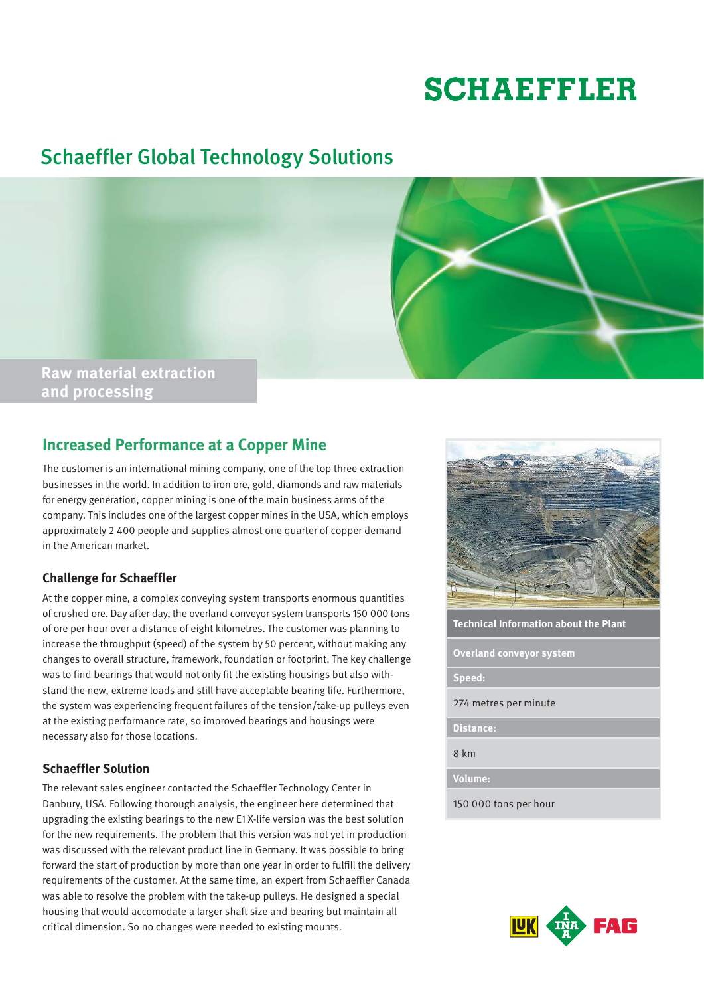# **SCHAEFFLER**

### Schaeffler Global Technology Solutions



## **and processing**

#### **Increased Performance at a Copper Mine**

The customer is an international mining company, one of the top three extraction businesses in the world. In addition to iron ore, gold, diamonds and raw materials for energy generation, copper mining is one of the main business arms of the company. This includes one of the largest copper mines in the USA, which employs approximately 2 400 people and supplies almost one quarter of copper demand in the American market.

#### **Challenge for Schaeffler**

At the copper mine, a complex conveying system transports enormous quantities of crushed ore. Day after day, the overland conveyor system transports 150 000 tons of ore per hour over a distance of eight kilometres. The customer was planning to increase the throughput (speed) of the system by 50 percent, without making any changes to overall structure, framework, foundation or footprint. The key challenge was to find bearings that would not only fit the existing housings but also withstand the new, extreme loads and still have acceptable bearing life. Furthermore, the system was experiencing frequent failures of the tension/take-up pulleys even at the existing performance rate, so improved bearings and housings were necessary also for those locations.

#### **Schaeffler Solution**

The relevant sales engineer contacted the Schaeffler Technology Center in Danbury, USA. Following thorough analysis, the engineer here determined that upgrading the existing bearings to the new E1 X-life version was the best solution for the new requirements. The problem that this version was not yet in production was discussed with the relevant product line in Germany. It was possible to bring forward the start of production by more than one year in order to fulfill the delivery requirements of the customer. At the same time, an expert from Schaeffler Canada was able to resolve the problem with the take-up pulleys. He designed a special housing that would accomodate a larger shaft size and bearing but maintain all critical dimension. So no changes were needed to existing mounts.



**Technical Information about the Plant**

**Overland conveyor system**

**Speed:**

274 metres per minute

**Distance:**

8 km

**Volume:**

150 000 tons per hour